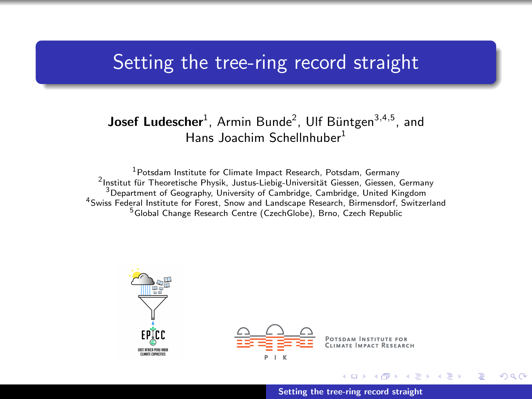# <span id="page-0-0"></span>Setting the tree-ring record straight

### Josef Ludescher<sup>1</sup>, Armin Bunde<sup>2</sup>, Ulf Büntgen<sup>3,4,5</sup>, and Hans Joachim Schellnhuber<sup>1</sup>

Potsdam Institute for Climate Impact Research, Potsdam, Germany <sup>2</sup>Institut für Theoretische Physik, Justus-Liebig-Universität Giessen, Giessen, Germany Department of Geography, University of Cambridge, Cambridge, United Kingdom Swiss Federal Institute for Forest, Snow and Landscape Research, Birmensdorf, Switzerland Global Change Research Centre (CzechGlobe), Brno, Czech Republic





[Setting the tree-ring record straight](#page-9-0)

 $4.71 \times 4.77 \times 4.75$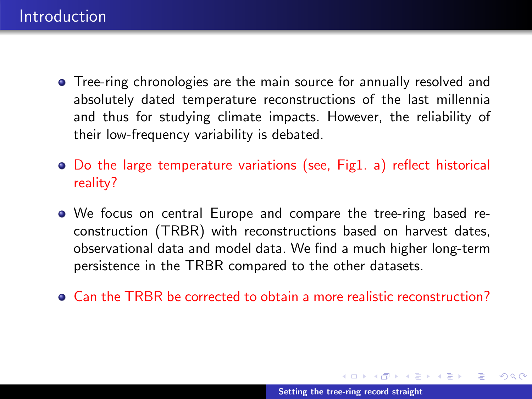- **•** Tree-ring chronologies are the main source for annually resolved and absolutely dated temperature reconstructions of the last millennia and thus for studying climate impacts. However, the reliability of their low-frequency variability is debated.
- Do the large temperature variations (see, Fig1. a) reflect historical reality?
- We focus on central Europe and compare the tree-ring based reconstruction (TRBR) with reconstructions based on harvest dates, observational data and model data. We find a much higher long-term persistence in the TRBR compared to the other datasets.
- Can the TRBR be corrected to obtain a more realistic reconstruction?

K ロ ⊁ K 倒 ≯ K ミ ⊁ K ミ ⊁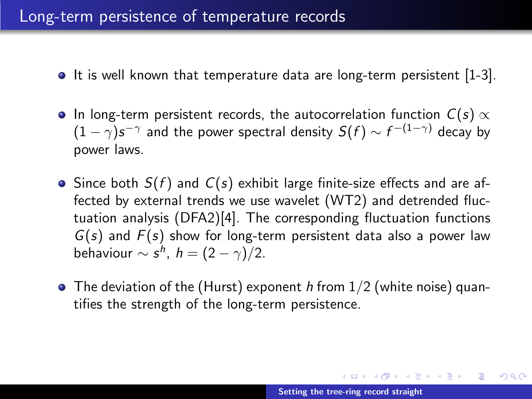### Long-term persistence of temperature records

- $\bullet$  It is well known that temperature data are long-term persistent [1-3].
- $\bullet$  In long-term persistent records, the autocorrelation function  $C(s) \propto$  $(1-\gamma) s^{-\gamma}$  and the power spectral density  $S(f) \sim f^{-(1-\gamma)}$  decay by power laws.
- $\bullet$  Since both  $S(f)$  and  $C(s)$  exhibit large finite-size effects and are affected by external trends we use wavelet (WT2) and detrended fluctuation analysis (DFA2)[4]. The corresponding fluctuation functions  $G(s)$  and  $F(s)$  show for long-term persistent data also a power law behaviour  $\sim s^h$ ,  $h = (2 - \gamma)/2$ .
- $\bullet$  The deviation of the (Hurst) exponent h from  $1/2$  (white noise) quantifies the strength of the long-term persistence.

イロメ イ部メ イヨメ イヨメー

 $2Q$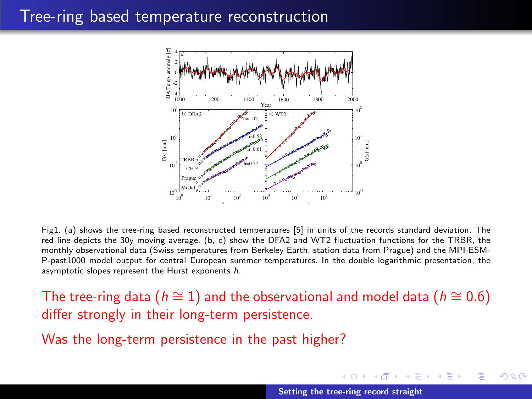### Tree-ring based temperature reconstruction



Fig1. (a) shows the tree-ring based reconstructed temperatures [5] in units of the records standard deviation. The red line depicts the 30y moving average. (b, c) show the DFA2 and WT2 fluctuation functions for the TRBR, the monthly observational data (Swiss temperatures from Berkeley Earth, station data from Prague) and the MPI-ESM-P-past1000 model output for central European summer temperatures. In the double logarithmic presentation, the asymptotic slopes represent the Hurst exponents h.

The tree-ring data ( $h \approx 1$ ) and the observational and model data ( $h \approx 0.6$ ) differ strongly in their long-term persistence.

Was the long-term persistence in the past higher?

**K ロ ト K 倒 ト K 走 ト** 

ia ⊞is

 $\Omega$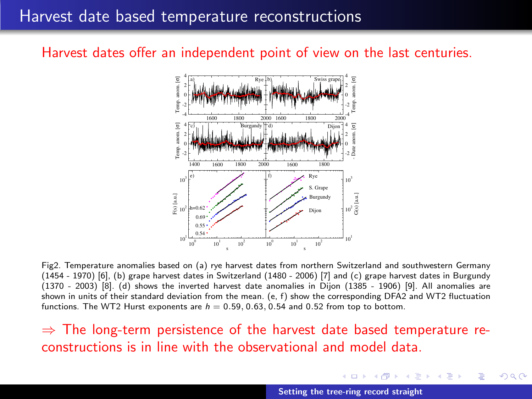# Harvest date based temperature reconstructions

#### Harvest dates offer an independent point of view on the last centuries.



Fig2. Temperature anomalies based on (a) rye harvest dates from northern Switzerland and southwestern Germany (1454 - 1970) [6], (b) grape harvest dates in Switzerland (1480 - 2006) [7] and (c) grape harvest dates in Burgundy (1370 - 2003) [8]. (d) shows the inverted harvest date anomalies in Dijon (1385 - 1906) [9]. All anomalies are shown in units of their standard deviation from the mean. (e, f) show the corresponding DFA2 and WT2 fluctuation functions. The WT2 Hurst exponents are  $h = 0.59, 0.63, 0.54$  and 0.52 from top to bottom.

 $\Rightarrow$  The long-term persistence of the harvest date based temperature reconstructions is in line with the observational and model data.

**K ロ ト K 倒 ト K 走 ト** 

**ALC: NO** 

つへへ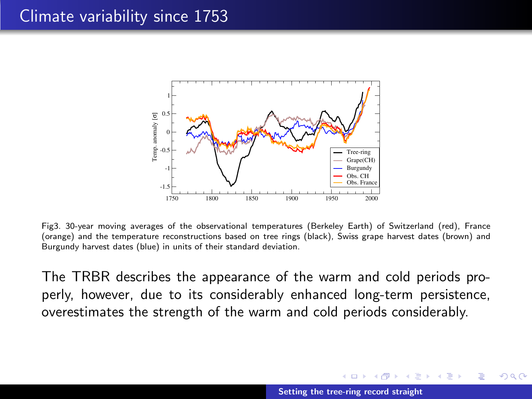# Climate variability since 1753



Fig3. 30-year moving averages of the observational temperatures (Berkeley Earth) of Switzerland (red), France (orange) and the temperature reconstructions based on tree rings (black), Swiss grape harvest dates (brown) and Burgundy harvest dates (blue) in units of their standard deviation.

The TRBR describes the appearance of the warm and cold periods properly, however, due to its considerably enhanced long-term persistence, overestimates the strength of the warm and cold periods considerably.

 $\left\{ \begin{array}{ccc} 1 & 0 & 0 \\ 0 & 1 & 0 \end{array} \right\}$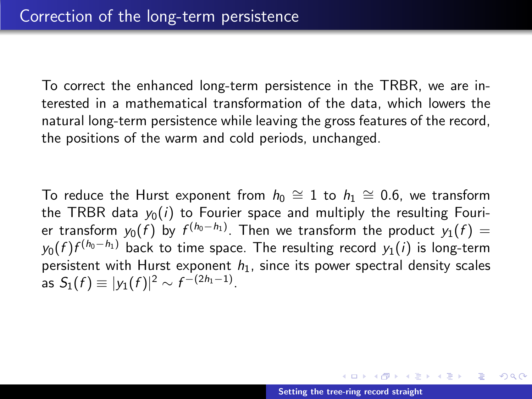To correct the enhanced long-term persistence in the TRBR, we are interested in a mathematical transformation of the data, which lowers the natural long-term persistence while leaving the gross features of the record, the positions of the warm and cold periods, unchanged.

To reduce the Hurst exponent from  $h_0 \cong 1$  to  $h_1 \cong 0.6$ , we transform the TRBR data  $y_0(i)$  to Fourier space and multiply the resulting Fourier transform  $y_0(f)$  by  $f^{(h_0-h_1)}.$  Then we transform the product  $y_1(f)=\frac{f^{(h_0)}(f)}{f^{(h_0)}(f)}$  $y_0(f)f^{(h_0-h_1)}$  back to time space. The resulting record  $y_1(i)$  is long-term persistent with Hurst exponent  $h_1$ , since its power spectral density scales as  $S_1(f) \equiv |y_1(f)|^2 \sim f^{-(2h_1-1)}$ .

メロメ メ御 メメ きょ メモメ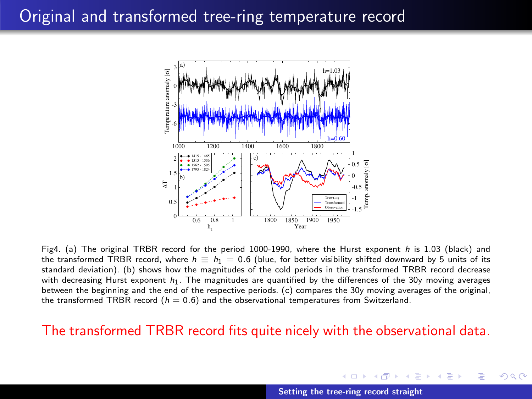

Fig4. (a) The original TRBR record for the period 1000-1990, where the Hurst exponent h is 1.03 (black) and the transformed TRBR record, where  $h \equiv h_1 = 0.6$  (blue, for better visibility shifted downward by 5 units of its standard deviation). (b) shows how the magnitudes of the cold periods in the transformed TRBR record decrease with decreasing Hurst exponent  $h_1$ . The magnitudes are quantified by the differences of the 30y moving averages between the beginning and the end of the respective periods. (c) compares the 30y moving averages of the original, the transformed TRBR record  $(h = 0.6)$  and the observational temperatures from Switzerland.

#### The transformed TRBR record fits quite nicely with the observational data.

[Setting the tree-ring record straight](#page-0-0)

 $\left\{ \begin{array}{ccc} 1 & 0 & 0 \\ 0 & 1 & 0 \end{array} \right\}$  ,  $\left\{ \begin{array}{ccc} -1 & 0 & 0 \\ 0 & 0 & 0 \end{array} \right\}$ 

つへへ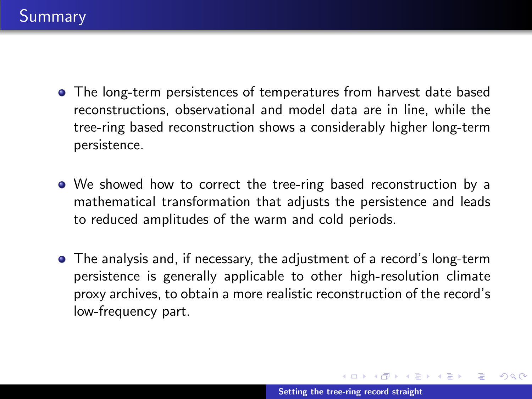- The long-term persistences of temperatures from harvest date based reconstructions, observational and model data are in line, while the tree-ring based reconstruction shows a considerably higher long-term persistence.
- We showed how to correct the tree-ring based reconstruction by a mathematical transformation that adjusts the persistence and leads to reduced amplitudes of the warm and cold periods.
- The analysis and, if necessary, the adjustment of a record's long-term persistence is generally applicable to other high-resolution climate proxy archives, to obtain a more realistic reconstruction of the record's low-frequency part.

K ロ ⊁ K 倒 ≯ K ミ ⊁ K ミ ⊁